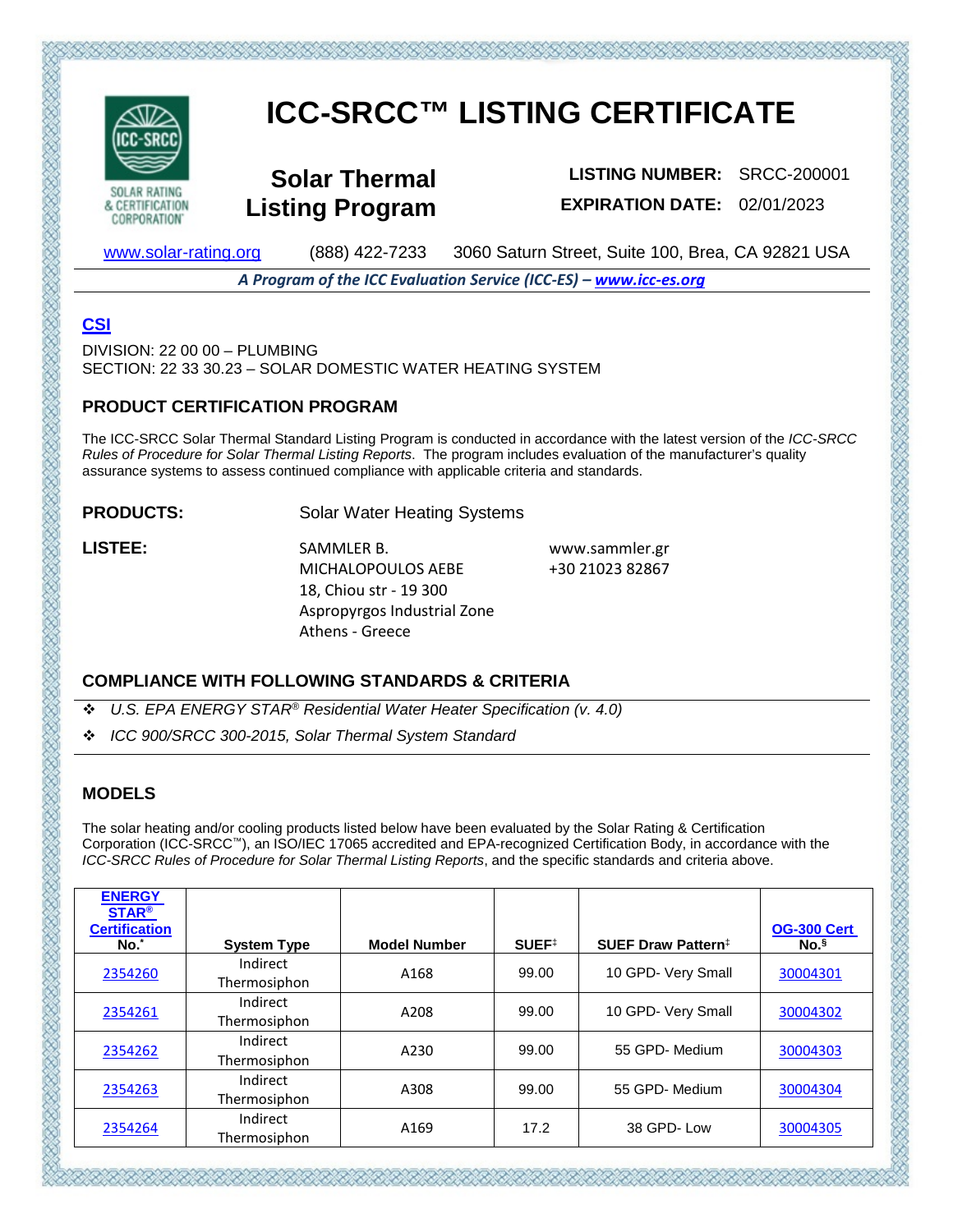

**CORPORATION** 

# **ICC-SRCC™ LISTING CERTIFICATE**

**Solar Thermal Listing Program**

**LISTING NUMBER:** SRCC-200001 **EXPIRATION DATE:** 02/01/2023

[www.solar-rating.org](http://www.solar-rating.org/) (888) 422-7233 3060 Saturn Street, Suite 100, Brea, CA 92821 USA

*A Program of the ICC Evaluation Service (ICC-ES) – [www.icc-es.org](http://www.icc-es.org/)*

## **[CSI](http://www.masterformat.com/revisions/)**

DIVISION: 22 00 00 – PLUMBING SECTION: 22 33 30.23 – SOLAR DOMESTIC WATER HEATING SYSTEM

#### **PRODUCT CERTIFICATION PROGRAM**

The ICC-SRCC Solar Thermal Standard Listing Program is conducted in accordance with the latest version of the *ICC-SRCC Rules of Procedure for Solar Thermal Listing Reports*. The program includes evaluation of the manufacturer's quality assurance systems to assess continued compliance with applicable criteria and standards.

**PRODUCTS:** Solar Water Heating Systems

LISTEE: SAMMLER B. MICHALOPOULOS AEBE 18, Chiou str - 19 300 Aspropyrgos Industrial Zone Athens - Greece

www.sammler.gr +30 21023 82867

#### **COMPLIANCE WITH FOLLOWING STANDARDS & CRITERIA**

- *U.S. EPA ENERGY STAR® Residential Water Heater Specification (v. 4.0)*
- *ICC 900/SRCC 300-2015, Solar Thermal System Standard*

### **MODELS**

The solar heating and/or cooling products listed below have been evaluated by the Solar Rating & Certification Corporation (ICC-SRCC™), an ISO/IEC 17065 accredited and EPA-recognized Certification Body, in accordance with the *ICC-SRCC Rules of Procedure for Solar Thermal Listing Reports*, and the specific standards and criteria above.

| <b>ENERGY</b>                               |                          |                     |                   |                                |                                        |
|---------------------------------------------|--------------------------|---------------------|-------------------|--------------------------------|----------------------------------------|
| <b>STAR®</b><br><b>Certification</b><br>No. | <b>System Type</b>       | <b>Model Number</b> | SUEF <sup>‡</sup> | SUEF Draw Pattern <sup>‡</sup> | <b>OG-300 Cert</b><br>No. <sup>§</sup> |
| 2354260                                     | Indirect<br>Thermosiphon | A168                | 99.00             | 10 GPD- Very Small             | 30004301                               |
| 2354261                                     | Indirect<br>Thermosiphon | A208                | 99.00             | 10 GPD- Very Small             | 30004302                               |
| 2354262                                     | Indirect<br>Thermosiphon | A230                | 99.00             | 55 GPD- Medium                 | 30004303                               |
| 2354263                                     | Indirect<br>Thermosiphon | A308                | 99.00             | 55 GPD- Medium                 | 30004304                               |
| 2354264                                     | Indirect<br>Thermosiphon | A169                | 17.2              | 38 GPD-Low                     | 30004305                               |

てだいだいだいだいだいだいがくだいがたいだいだいだいがくだいだいだい